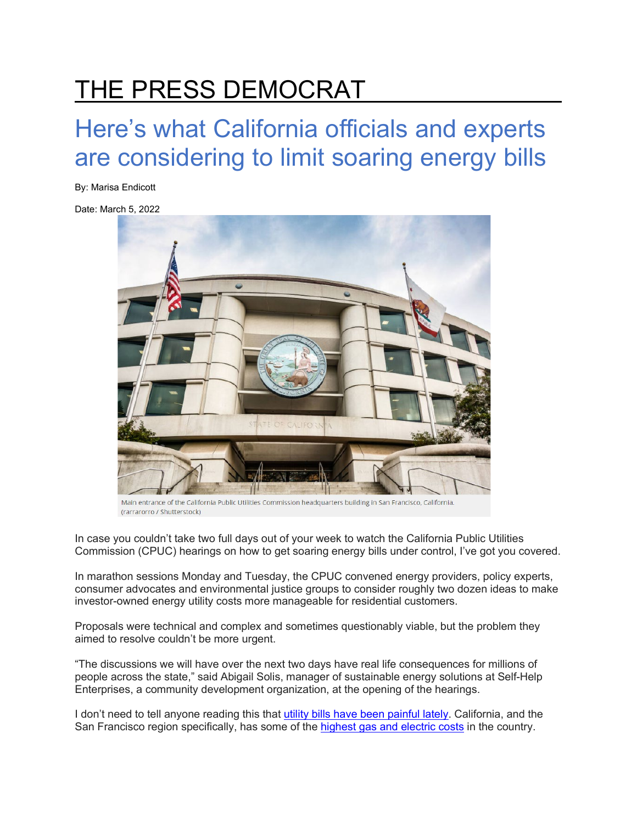## THE PRESS DEMOCRAT

## Here's what California officials and experts are considering to limit soaring energy bills

By: Marisa Endicott

Date: March 5, 2022



Main entrance of the California Public Utilities Commission headquarters building in San Francisco, California. (rarrarorro / Shutterstock)

In case you couldn't take two full days out of your week to watch the California Public Utilities Commission (CPUC) hearings on how to get soaring energy bills under control, I've got you covered.

In marathon sessions Monday and Tuesday, the CPUC convened energy providers, policy experts, consumer advocates and environmental justice groups to consider roughly two dozen ideas to make investor-owned energy utility costs more manageable for residential customers.

Proposals were technical and complex and sometimes questionably viable, but the problem they aimed to resolve couldn't be more urgent.

"The discussions we will have over the next two days have real life consequences for millions of people across the state," said Abigail Solis, manager of sustainable energy solutions at Self-Help Enterprises, a community development organization, at the opening of the hearings.

I don't need to tell anyone reading this that [utility bills have been painful lately.](https://www.pressdemocrat.com/article/news/youre-not-imagining-things-your-pge-bill-is-soaring-heres-why-and-what/) California, and the San Francisco region specifically, has some of the [highest gas and electric costs](https://www.bls.gov/regions/midwest/data/averageenergyprices_selectedareas_table.htm) in the country.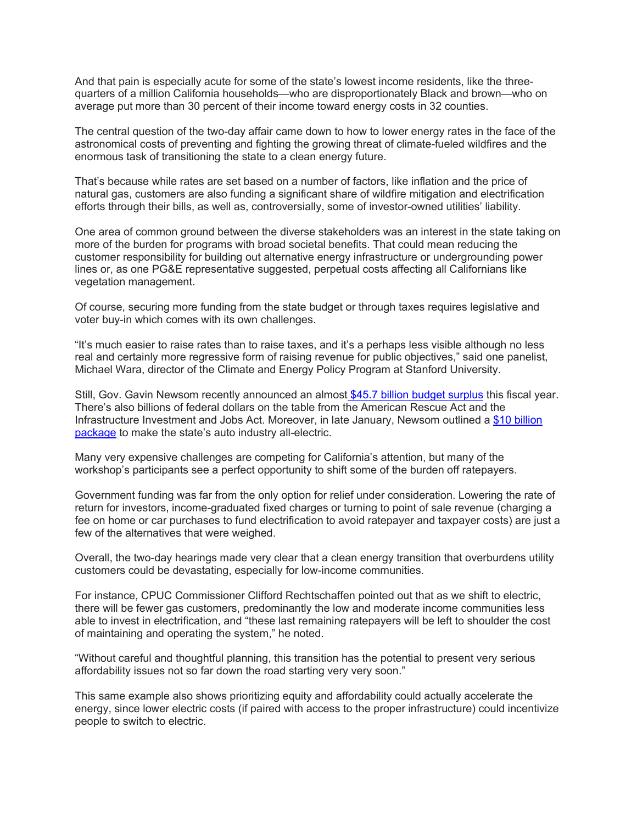And that pain is especially acute for some of the state's lowest income residents, like the threequarters of a million California households—who are disproportionately Black and brown—who on average put more than 30 percent of their income toward energy costs in 32 counties.

The central question of the two-day affair came down to how to lower energy rates in the face of the astronomical costs of preventing and fighting the growing threat of climate-fueled wildfires and the enormous task of transitioning the state to a clean energy future.

That's because while rates are set based on a number of factors, like inflation and the price of natural gas, customers are also funding a significant share of wildfire mitigation and electrification efforts through their bills, as well as, controversially, some of investor-owned utilities' liability.

One area of common ground between the diverse stakeholders was an interest in the state taking on more of the burden for programs with broad societal benefits. That could mean reducing the customer responsibility for building out alternative energy infrastructure or undergrounding power lines or, as one PG&E representative suggested, perpetual costs affecting all Californians like vegetation management.

Of course, securing more funding from the state budget or through taxes requires legislative and voter buy-in which comes with its own challenges.

"It's much easier to raise rates than to raise taxes, and it's a perhaps less visible although no less real and certainly more regressive form of raising revenue for public objectives," said one panelist, Michael Wara, director of the Climate and Energy Policy Program at Stanford University.

Still, Gov. Gavin Newsom recently announced an almost [\\$45.7 billion budget surplus](https://calmatters.org/politics/2022/01/california-newsom-budget-surplus-game/) this fiscal year. There's also billions of federal dollars on the table from the American Rescue Act and the Infrastructure Investment and Jobs Act. Moreover, in late January, Newsom outlined a [\\$10 billion](https://www.gov.ca.gov/2022/01/26/governor-newsom-outlines-historic-10-billion-zero-emission-vehicle-package-to-lead-the-worlds-transition-to-clean-energy-combat-climate-change/)  [package](https://www.gov.ca.gov/2022/01/26/governor-newsom-outlines-historic-10-billion-zero-emission-vehicle-package-to-lead-the-worlds-transition-to-clean-energy-combat-climate-change/) to make the state's auto industry all-electric.

Many very expensive challenges are competing for California's attention, but many of the workshop's participants see a perfect opportunity to shift some of the burden off ratepayers.

Government funding was far from the only option for relief under consideration. Lowering the rate of return for investors, income-graduated fixed charges or turning to point of sale revenue (charging a fee on home or car purchases to fund electrification to avoid ratepayer and taxpayer costs) are just a few of the alternatives that were weighed.

Overall, the two-day hearings made very clear that a clean energy transition that overburdens utility customers could be devastating, especially for low-income communities.

For instance, CPUC Commissioner Clifford Rechtschaffen pointed out that as we shift to electric, there will be fewer gas customers, predominantly the low and moderate income communities less able to invest in electrification, and "these last remaining ratepayers will be left to shoulder the cost of maintaining and operating the system," he noted.

"Without careful and thoughtful planning, this transition has the potential to present very serious affordability issues not so far down the road starting very very soon."

This same example also shows prioritizing equity and affordability could actually accelerate the energy, since lower electric costs (if paired with access to the proper infrastructure) could incentivize people to switch to electric.